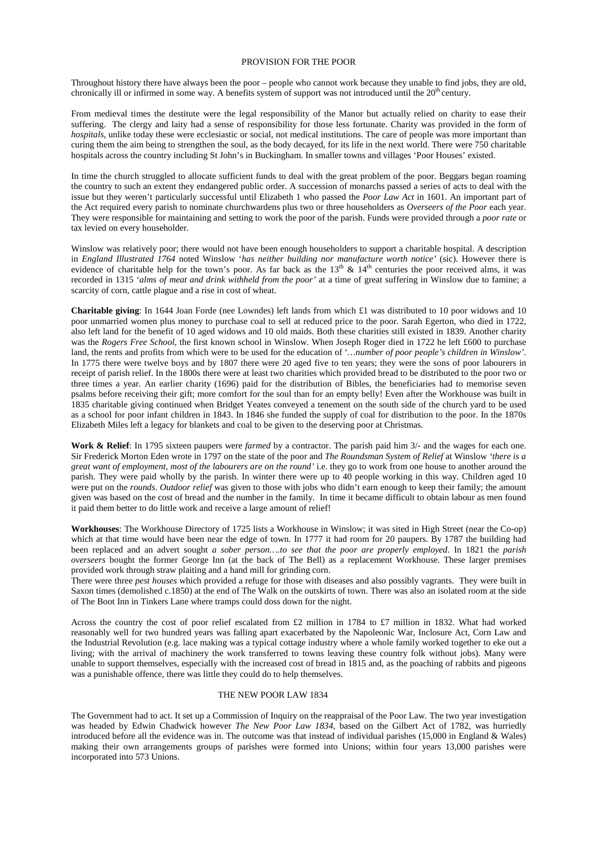### PROVISION FOR THE POOR

Throughout history there have always been the poor – people who cannot work because they unable to find jobs, they are old, chronically ill or infirmed in some way. A benefits system of support was not introduced until the 20<sup>th</sup> century.

From medieval times the destitute were the legal responsibility of the Manor but actually relied on charity to ease their suffering. The clergy and laity had a sense of responsibility for those less fortunate. Charity was provided in the form of *hospitals*, unlike today these were ecclesiastic or social, not medical institutions. The care of people was more important than curing them the aim being to strengthen the soul, as the body decayed, for its life in the next world. There were 750 charitable hospitals across the country including St John's in Buckingham. In smaller towns and villages 'Poor Houses' existed.

In time the church struggled to allocate sufficient funds to deal with the great problem of the poor. Beggars began roaming the country to such an extent they endangered public order. A succession of monarchs passed a series of acts to deal with the issue but they weren't particularly successful until Elizabeth 1 who passed the *Poor Law Act* in 1601. An important part of the Act required every parish to nominate churchwardens plus two or three householders as *Overseers of the Poor* each year. They were responsible for maintaining and setting to work the poor of the parish. Funds were provided through a *poor rate* or tax levied on every householder.

Winslow was relatively poor; there would not have been enough householders to support a charitable hospital. A description in *England Illustrated 1764* noted Winslow '*has neither building nor manufacture worth notice'* (sic). However there is evidence of charitable help for the town's poor. As far back as the  $13<sup>th</sup>$  &  $14<sup>th</sup>$  centuries the poor received alms, it was recorded in 1315 '*alms of meat and drink withheld from the poor'* at a time of great suffering in Winslow due to famine; a scarcity of corn, cattle plague and a rise in cost of wheat.

**Charitable giving**: In 1644 Joan Forde (nee Lowndes) left lands from which £1 was distributed to 10 poor widows and 10 poor unmarried women plus money to purchase coal to sell at reduced price to the poor. Sarah Egerton, who died in 1722, also left land for the benefit of 10 aged widows and 10 old maids. Both these charities still existed in 1839. Another charity was the *Rogers Free School*, the first known school in Winslow. When Joseph Roger died in 1722 he left £600 to purchase land, the rents and profits from which were to be used for the education of '*…number of poor people's children in Winslow'*. In 1775 there were twelve boys and by 1807 there were 20 aged five to ten years; they were the sons of poor labourers in receipt of parish relief. In the 1800s there were at least two charities which provided bread to be distributed to the poor two or three times a year. An earlier charity (1696) paid for the distribution of Bibles, the beneficiaries had to memorise seven psalms before receiving their gift; more comfort for the soul than for an empty belly! Even after the Workhouse was built in 1835 charitable giving continued when Bridget Yeates conveyed a tenement on the south side of the church yard to be used as a school for poor infant children in 1843. In 1846 she funded the supply of coal for distribution to the poor. In the 1870s Elizabeth Miles left a legacy for blankets and coal to be given to the deserving poor at Christmas.

**Work & Relief**: In 1795 sixteen paupers were *farmed* by a contractor. The parish paid him 3/- and the wages for each one. Sir Frederick Morton Eden wrote in 1797 on the state of the poor and *The Roundsman System of Relief* at Winslow *'there is a great want of employment, most of the labourers are on the round'* i.e. they go to work from one house to another around the parish. They were paid wholly by the parish. In winter there were up to 40 people working in this way. Children aged 10 were put on the *rounds*. *Outdoor relief* was given to those with jobs who didn't earn enough to keep their family; the amount given was based on the cost of bread and the number in the family. In time it became difficult to obtain labour as men found it paid them better to do little work and receive a large amount of relief!

**Workhouses**: The Workhouse Directory of 1725 lists a Workhouse in Winslow; it was sited in High Street (near the Co-op) which at that time would have been near the edge of town. In 1777 it had room for 20 paupers. By 1787 the building had been replaced and an advert sought *a sober person….to see that the poor are properly employed*. In 1821 the *parish overseers* bought the former George Inn (at the back of The Bell) as a replacement Workhouse. These larger premises provided work through straw plaiting and a hand mill for grinding corn.

There were three *pest houses* which provided a refuge for those with diseases and also possibly vagrants. They were built in Saxon times (demolished c.1850) at the end of The Walk on the outskirts of town. There was also an isolated room at the side of The Boot Inn in Tinkers Lane where tramps could doss down for the night.

Across the country the cost of poor relief escalated from £2 million in 1784 to £7 million in 1832. What had worked reasonably well for two hundred years was falling apart exacerbated by the Napoleonic War, Inclosure Act, Corn Law and the Industrial Revolution (e.g. lace making was a typical cottage industry where a whole family worked together to eke out a living; with the arrival of machinery the work transferred to towns leaving these country folk without jobs). Many were unable to support themselves, especially with the increased cost of bread in 1815 and, as the poaching of rabbits and pigeons was a punishable offence, there was little they could do to help themselves.

## THE NEW POOR LAW 1834

The Government had to act. It set up a Commission of Inquiry on the reappraisal of the Poor Law. The two year investigation was headed by Edwin Chadwick however *The New Poor Law 1834*, based on the Gilbert Act of 1782, was hurriedly introduced before all the evidence was in. The outcome was that instead of individual parishes (15,000 in England & Wales) making their own arrangements groups of parishes were formed into Unions; within four years 13,000 parishes were incorporated into 573 Unions.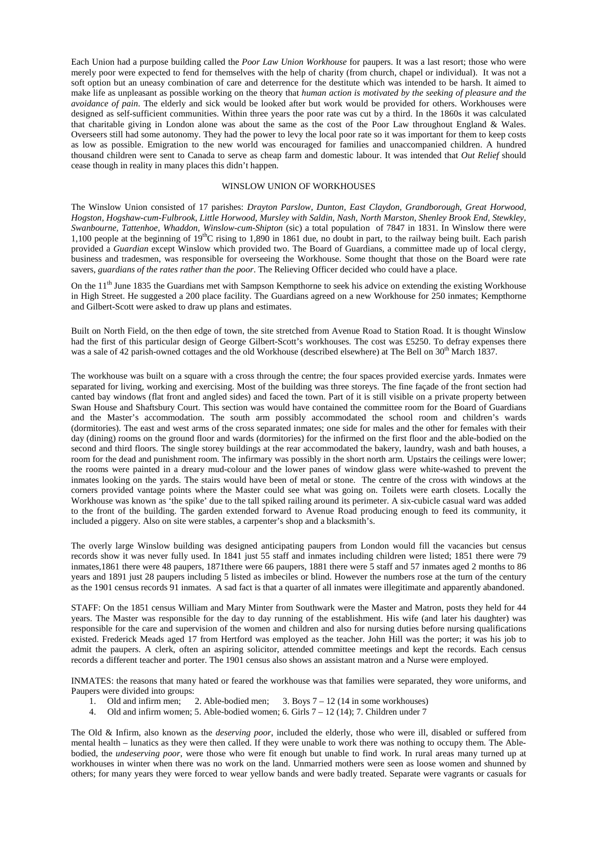Each Union had a purpose building called the *Poor Law Union Workhouse* for paupers. It was a last resort; those who were merely poor were expected to fend for themselves with the help of charity (from church, chapel or individual). It was not a soft option but an uneasy combination of care and deterrence for the destitute which was intended to be harsh. It aimed to make life as unpleasant as possible working on the theory that *human action is motivated by the seeking of pleasure and the avoidance of pain*. The elderly and sick would be looked after but work would be provided for others. Workhouses were designed as self-sufficient communities. Within three years the poor rate was cut by a third. In the 1860s it was calculated that charitable giving in London alone was about the same as the cost of the Poor Law throughout England & Wales. Overseers still had some autonomy. They had the power to levy the local poor rate so it was important for them to keep costs as low as possible. Emigration to the new world was encouraged for families and unaccompanied children. A hundred thousand children were sent to Canada to serve as cheap farm and domestic labour. It was intended that *Out Relief* should cease though in reality in many places this didn't happen*.*

## WINSLOW UNION OF WORKHOUSES

The Winslow Union consisted of 17 parishes: *Drayton Parslow, Dunton, East Claydon, Grandborough, Great Horwood, Hogston, Hogshaw-cum-Fulbrook, Little Horwood, Mursley with Saldin, Nash, North Marston, Shenley Brook End, Stewkley, Swanbourne, Tattenhoe, Whaddon, Winslow-cum-Shipton* (sic) a total population of 7847 in 1831. In Winslow there were 1,100 people at the beginning of 19<sup>th</sup>C rising to 1,890 in 1861 due, no doubt in part, to the railway being built. Each parish provided a *Guardian* except Winslow which provided two. The Board of Guardians, a committee made up of local clergy, business and tradesmen, was responsible for overseeing the Workhouse. Some thought that those on the Board were rate savers*, guardians of the rates rather than the poor*. The Relieving Officer decided who could have a place.

On the 11<sup>th</sup> June 1835 the Guardians met with Sampson Kempthorne to seek his advice on extending the existing Workhouse in High Street. He suggested a 200 place facility. The Guardians agreed on a new Workhouse for 250 inmates; Kempthorne and Gilbert-Scott were asked to draw up plans and estimates.

Built on North Field, on the then edge of town, the site stretched from Avenue Road to Station Road. It is thought Winslow had the first of this particular design of George Gilbert-Scott's workhouses. The cost was £5250. To defray expenses there was a sale of 42 parish-owned cottages and the old Workhouse (described elsewhere) at The Bell on  $30<sup>th</sup>$  March 1837.

The workhouse was built on a square with a cross through the centre; the four spaces provided exercise yards. Inmates were separated for living, working and exercising. Most of the building was three storeys. The fine façade of the front section had canted bay windows (flat front and angled sides) and faced the town. Part of it is still visible on a private property between Swan House and Shaftsbury Court. This section was would have contained the committee room for the Board of Guardians and the Master's accommodation. The south arm possibly accommodated the school room and children's wards (dormitories). The east and west arms of the cross separated inmates; one side for males and the other for females with their day (dining) rooms on the ground floor and wards (dormitories) for the infirmed on the first floor and the able-bodied on the second and third floors. The single storey buildings at the rear accommodated the bakery, laundry, wash and bath houses, a room for the dead and punishment room. The infirmary was possibly in the short north arm. Upstairs the ceilings were lower; the rooms were painted in a dreary mud-colour and the lower panes of window glass were white-washed to prevent the inmates looking on the yards. The stairs would have been of metal or stone. The centre of the cross with windows at the corners provided vantage points where the Master could see what was going on. Toilets were earth closets. Locally the Workhouse was known as 'the spike' due to the tall spiked railing around its perimeter. A six-cubicle casual ward was added to the front of the building. The garden extended forward to Avenue Road producing enough to feed its community, it included a piggery. Also on site were stables, a carpenter's shop and a blacksmith's.

The overly large Winslow building was designed anticipating paupers from London would fill the vacancies but census records show it was never fully used. In 1841 just 55 staff and inmates including children were listed; 1851 there were 79 inmates,1861 there were 48 paupers, 1871there were 66 paupers, 1881 there were 5 staff and 57 inmates aged 2 months to 86 years and 1891 just 28 paupers including 5 listed as imbeciles or blind. However the numbers rose at the turn of the century as the 1901 census records 91 inmates. A sad fact is that a quarter of all inmates were illegitimate and apparently abandoned.

STAFF: On the 1851 census William and Mary Minter from Southwark were the Master and Matron, posts they held for 44 years. The Master was responsible for the day to day running of the establishment. His wife (and later his daughter) was responsible for the care and supervision of the women and children and also for nursing duties before nursing qualifications existed. Frederick Meads aged 17 from Hertford was employed as the teacher. John Hill was the porter; it was his job to admit the paupers. A clerk, often an aspiring solicitor, attended committee meetings and kept the records. Each census records a different teacher and porter. The 1901 census also shows an assistant matron and a Nurse were employed.

INMATES: the reasons that many hated or feared the workhouse was that families were separated, they wore uniforms, and Paupers were divided into groups:

- 1. Old and infirm men; 2. Able-bodied men; 3. Boys 7 12 (14 in some workhouses)
- 4. Old and infirm women; 5. Able-bodied women; 6. Girls 7 12 (14); 7. Children under 7

The Old & Infirm, also known as the *deserving poor*, included the elderly, those who were ill, disabled or suffered from mental health – lunatics as they were then called. If they were unable to work there was nothing to occupy them. The Ablebodied, the *undeserving poor*, were those who were fit enough but unable to find work. In rural areas many turned up at workhouses in winter when there was no work on the land. Unmarried mothers were seen as loose women and shunned by others; for many years they were forced to wear yellow bands and were badly treated. Separate were vagrants or casuals for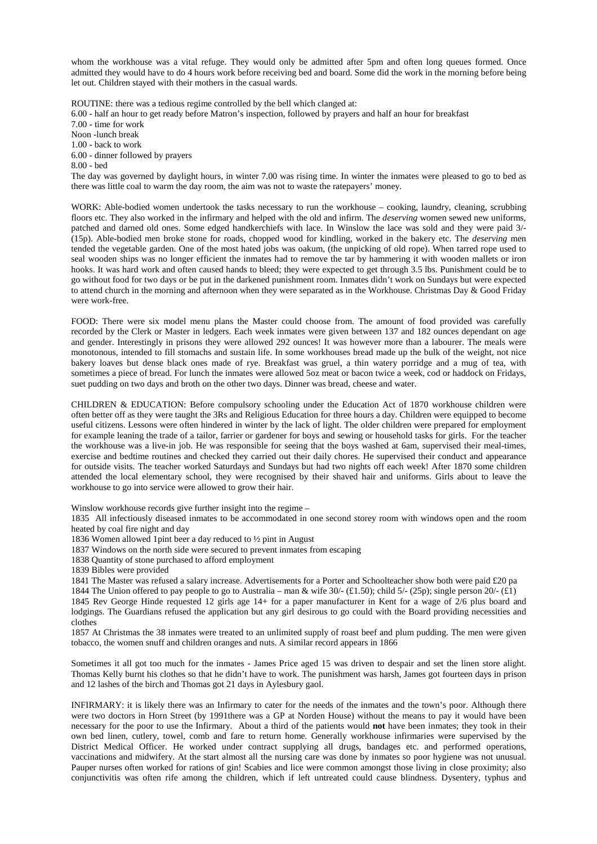whom the workhouse was a vital refuge. They would only be admitted after 5pm and often long queues formed. Once admitted they would have to do 4 hours work before receiving bed and board. Some did the work in the morning before being let out. Children stayed with their mothers in the casual wards.

ROUTINE: there was a tedious regime controlled by the bell which clanged at:

6.00 - half an hour to get ready before Matron's inspection, followed by prayers and half an hour for breakfast

7.00 - time for work

Noon -lunch break 1.00 - back to work

6.00 - dinner followed by prayers

8.00 - bed

The day was governed by daylight hours, in winter 7.00 was rising time. In winter the inmates were pleased to go to bed as there was little coal to warm the day room, the aim was not to waste the ratepayers' money.

WORK: Able-bodied women undertook the tasks necessary to run the workhouse – cooking, laundry, cleaning, scrubbing floors etc. They also worked in the infirmary and helped with the old and infirm. The *deserving* women sewed new uniforms, patched and darned old ones. Some edged handkerchiefs with lace. In Winslow the lace was sold and they were paid 3/- (15p). Able-bodied men broke stone for roads, chopped wood for kindling, worked in the bakery etc. The *deserving* men tended the vegetable garden. One of the most hated jobs was oakum, (the unpicking of old rope). When tarred rope used to seal wooden ships was no longer efficient the inmates had to remove the tar by hammering it with wooden mallets or iron hooks. It was hard work and often caused hands to bleed; they were expected to get through 3.5 lbs. Punishment could be to go without food for two days or be put in the darkened punishment room. Inmates didn't work on Sundays but were expected to attend church in the morning and afternoon when they were separated as in the Workhouse. Christmas Day & Good Friday were work-free.

FOOD: There were six model menu plans the Master could choose from. The amount of food provided was carefully recorded by the Clerk or Master in ledgers. Each week inmates were given between 137 and 182 ounces dependant on age and gender. Interestingly in prisons they were allowed 292 ounces! It was however more than a labourer. The meals were monotonous, intended to fill stomachs and sustain life. In some workhouses bread made up the bulk of the weight, not nice bakery loaves but dense black ones made of rye. Breakfast was gruel, a thin watery porridge and a mug of tea, with sometimes a piece of bread. For lunch the inmates were allowed 5oz meat or bacon twice a week, cod or haddock on Fridays, suet pudding on two days and broth on the other two days. Dinner was bread, cheese and water.

CHILDREN & EDUCATION: Before compulsory schooling under the Education Act of 1870 workhouse children were often better off as they were taught the 3Rs and Religious Education for three hours a day. Children were equipped to become useful citizens. Lessons were often hindered in winter by the lack of light. The older children were prepared for employment for example leaning the trade of a tailor, farrier or gardener for boys and sewing or household tasks for girls. For the teacher the workhouse was a live-in job. He was responsible for seeing that the boys washed at 6am, supervised their meal-times, exercise and bedtime routines and checked they carried out their daily chores. He supervised their conduct and appearance for outside visits. The teacher worked Saturdays and Sundays but had two nights off each week! After 1870 some children attended the local elementary school, they were recognised by their shaved hair and uniforms. Girls about to leave the workhouse to go into service were allowed to grow their hair.

Winslow workhouse records give further insight into the regime –

1835 All infectiously diseased inmates to be accommodated in one second storey room with windows open and the room heated by coal fire night and day

1836 Women allowed 1pint beer a day reduced to ½ pint in August

- 1837 Windows on the north side were secured to prevent inmates from escaping
- 1838 Quantity of stone purchased to afford employment

1839 Bibles were provided

1841 The Master was refused a salary increase. Advertisements for a Porter and Schoolteacher show both were paid £20 pa

1844 The Union offered to pay people to go to Australia – man & wife  $30/-(\pounds1.50)$ ; child  $5/-(25p)$ ; single person  $20/-(\pounds1)$ 1845 Rev George Hinde requested 12 girls age 14+ for a paper manufacturer in Kent for a wage of 2/6 plus board and lodgings. The Guardians refused the application but any girl desirous to go could with the Board providing necessities and clothes

1857 At Christmas the 38 inmates were treated to an unlimited supply of roast beef and plum pudding. The men were given tobacco, the women snuff and children oranges and nuts. A similar record appears in 1866

Sometimes it all got too much for the inmates - James Price aged 15 was driven to despair and set the linen store alight. Thomas Kelly burnt his clothes so that he didn't have to work. The punishment was harsh, James got fourteen days in prison and 12 lashes of the birch and Thomas got 21 days in Aylesbury gaol.

INFIRMARY: it is likely there was an Infirmary to cater for the needs of the inmates and the town's poor. Although there were two doctors in Horn Street (by 1991there was a GP at Norden House) without the means to pay it would have been necessary for the poor to use the Infirmary. About a third of the patients would **not** have been inmates; they took in their own bed linen, cutlery, towel, comb and fare to return home. Generally workhouse infirmaries were supervised by the District Medical Officer. He worked under contract supplying all drugs, bandages etc. and performed operations, vaccinations and midwifery. At the start almost all the nursing care was done by inmates so poor hygiene was not unusual. Pauper nurses often worked for rations of gin! Scabies and lice were common amongst those living in close proximity; also conjunctivitis was often rife among the children, which if left untreated could cause blindness. Dysentery, typhus and